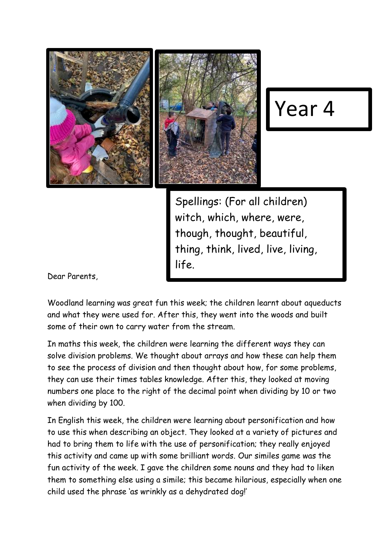



## Year 4

Spellings: (For all children) witch, which, where, were, though, thought, beautiful, thing, think, lived, live, living, life.

Dear Parents,

Woodland learning was great fun this week; the children learnt about aqueducts and what they were used for. After this, they went into the woods and built some of their own to carry water from the stream.

In maths this week, the children were learning the different ways they can solve division problems. We thought about arrays and how these can help them to see the process of division and then thought about how, for some problems, they can use their times tables knowledge. After this, they looked at moving numbers one place to the right of the decimal point when dividing by 10 or two when dividing by 100.

In English this week, the children were learning about personification and how to use this when describing an object. They looked at a variety of pictures and had to bring them to life with the use of personification; they really enjoyed this activity and came up with some brilliant words. Our similes game was the fun activity of the week. I gave the children some nouns and they had to liken them to something else using a simile; this became hilarious, especially when one child used the phrase 'as wrinkly as a dehydrated dog!'